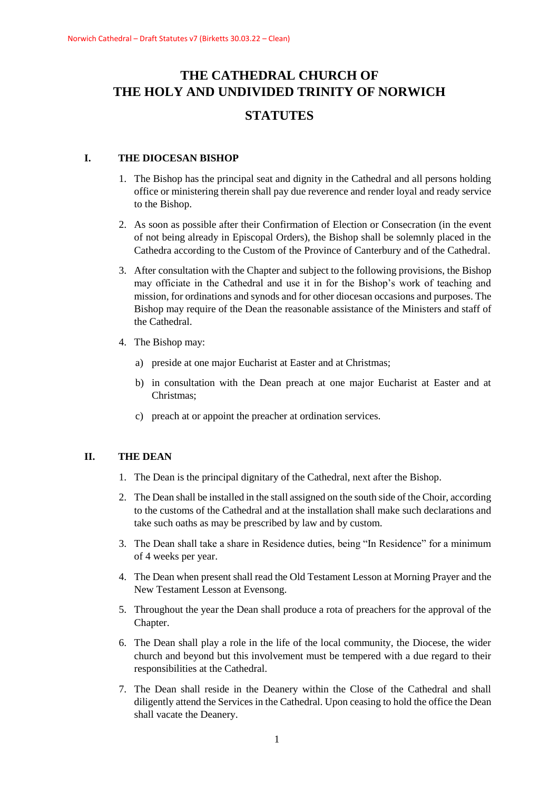# **THE CATHEDRAL CHURCH OF THE HOLY AND UNDIVIDED TRINITY OF NORWICH STATUTES**

## **I. THE DIOCESAN BISHOP**

- 1. The Bishop has the principal seat and dignity in the Cathedral and all persons holding office or ministering therein shall pay due reverence and render loyal and ready service to the Bishop.
- 2. As soon as possible after their Confirmation of Election or Consecration (in the event of not being already in Episcopal Orders), the Bishop shall be solemnly placed in the Cathedra according to the Custom of the Province of Canterbury and of the Cathedral.
- 3. After consultation with the Chapter and subject to the following provisions, the Bishop may officiate in the Cathedral and use it in for the Bishop's work of teaching and mission, for ordinations and synods and for other diocesan occasions and purposes. The Bishop may require of the Dean the reasonable assistance of the Ministers and staff of the Cathedral.
- 4. The Bishop may:
	- a) preside at one major Eucharist at Easter and at Christmas;
	- b) in consultation with the Dean preach at one major Eucharist at Easter and at Christmas;
	- c) preach at or appoint the preacher at ordination services.

## **II. THE DEAN**

- 1. The Dean is the principal dignitary of the Cathedral, next after the Bishop.
- 2. The Dean shall be installed in the stall assigned on the south side of the Choir, according to the customs of the Cathedral and at the installation shall make such declarations and take such oaths as may be prescribed by law and by custom.
- 3. The Dean shall take a share in Residence duties, being "In Residence" for a minimum of 4 weeks per year.
- 4. The Dean when present shall read the Old Testament Lesson at Morning Prayer and the New Testament Lesson at Evensong.
- 5. Throughout the year the Dean shall produce a rota of preachers for the approval of the Chapter.
- 6. The Dean shall play a role in the life of the local community, the Diocese, the wider church and beyond but this involvement must be tempered with a due regard to their responsibilities at the Cathedral.
- 7. The Dean shall reside in the Deanery within the Close of the Cathedral and shall diligently attend the Services in the Cathedral. Upon ceasing to hold the office the Dean shall vacate the Deanery.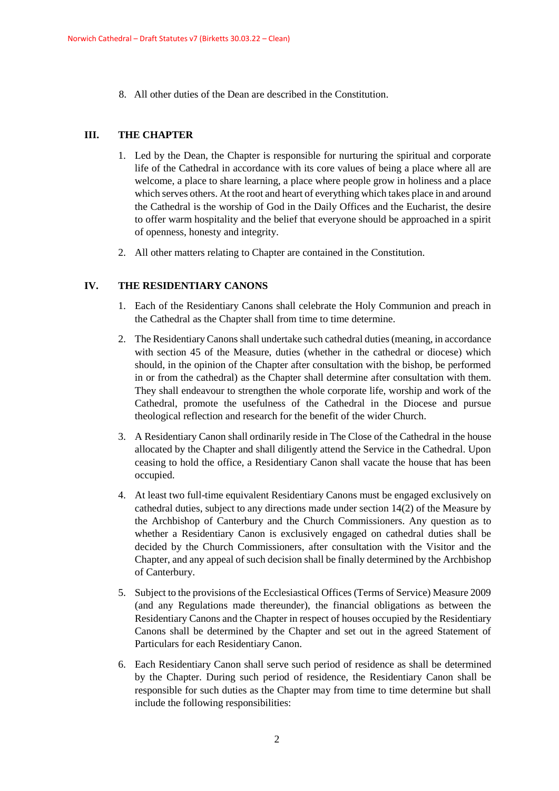8. All other duties of the Dean are described in the Constitution.

## **III. THE CHAPTER**

- 1. Led by the Dean, the Chapter is responsible for nurturing the spiritual and corporate life of the Cathedral in accordance with its core values of being a place where all are welcome, a place to share learning, a place where people grow in holiness and a place which serves others. At the root and heart of everything which takes place in and around the Cathedral is the worship of God in the Daily Offices and the Eucharist, the desire to offer warm hospitality and the belief that everyone should be approached in a spirit of openness, honesty and integrity.
- 2. All other matters relating to Chapter are contained in the Constitution.

## **IV. THE RESIDENTIARY CANONS**

- 1. Each of the Residentiary Canons shall celebrate the Holy Communion and preach in the Cathedral as the Chapter shall from time to time determine.
- 2. The Residentiary Canons shall undertake such cathedral duties (meaning, in accordance with section 45 of the Measure, duties (whether in the cathedral or diocese) which should, in the opinion of the Chapter after consultation with the bishop, be performed in or from the cathedral) as the Chapter shall determine after consultation with them. They shall endeavour to strengthen the whole corporate life, worship and work of the Cathedral, promote the usefulness of the Cathedral in the Diocese and pursue theological reflection and research for the benefit of the wider Church.
- 3. A Residentiary Canon shall ordinarily reside in The Close of the Cathedral in the house allocated by the Chapter and shall diligently attend the Service in the Cathedral. Upon ceasing to hold the office, a Residentiary Canon shall vacate the house that has been occupied.
- 4. At least two full-time equivalent Residentiary Canons must be engaged exclusively on cathedral duties, subject to any directions made under section 14(2) of the Measure by the Archbishop of Canterbury and the Church Commissioners. Any question as to whether a Residentiary Canon is exclusively engaged on cathedral duties shall be decided by the Church Commissioners, after consultation with the Visitor and the Chapter, and any appeal of such decision shall be finally determined by the Archbishop of Canterbury.
- 5. Subject to the provisions of the Ecclesiastical Offices (Terms of Service) Measure 2009 (and any Regulations made thereunder), the financial obligations as between the Residentiary Canons and the Chapter in respect of houses occupied by the Residentiary Canons shall be determined by the Chapter and set out in the agreed Statement of Particulars for each Residentiary Canon.
- 6. Each Residentiary Canon shall serve such period of residence as shall be determined by the Chapter. During such period of residence, the Residentiary Canon shall be responsible for such duties as the Chapter may from time to time determine but shall include the following responsibilities: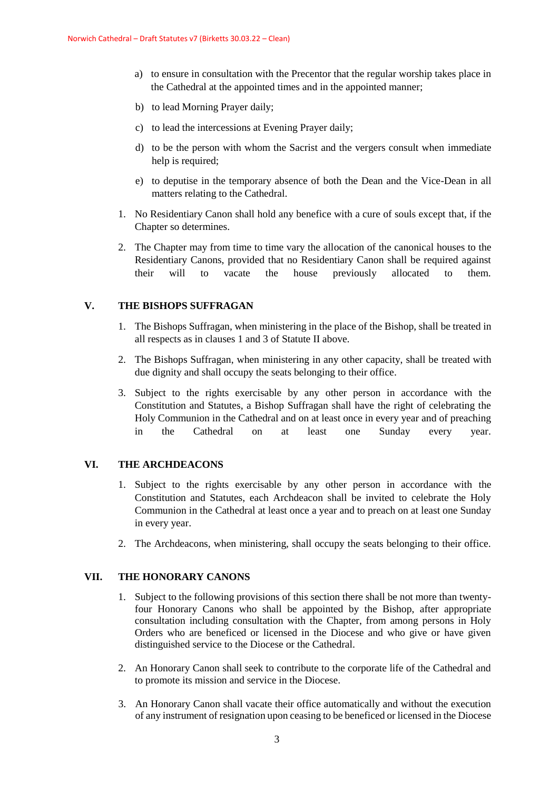- a) to ensure in consultation with the Precentor that the regular worship takes place in the Cathedral at the appointed times and in the appointed manner;
- b) to lead Morning Prayer daily;
- c) to lead the intercessions at Evening Prayer daily;
- d) to be the person with whom the Sacrist and the vergers consult when immediate help is required;
- e) to deputise in the temporary absence of both the Dean and the Vice-Dean in all matters relating to the Cathedral.
- 1. No Residentiary Canon shall hold any benefice with a cure of souls except that, if the Chapter so determines.
- 2. The Chapter may from time to time vary the allocation of the canonical houses to the Residentiary Canons, provided that no Residentiary Canon shall be required against their will to vacate the house previously allocated to them.

## **V. THE BISHOPS SUFFRAGAN**

- 1. The Bishops Suffragan, when ministering in the place of the Bishop, shall be treated in all respects as in clauses 1 and 3 of Statute II above.
- 2. The Bishops Suffragan, when ministering in any other capacity, shall be treated with due dignity and shall occupy the seats belonging to their office.
- 3. Subject to the rights exercisable by any other person in accordance with the Constitution and Statutes, a Bishop Suffragan shall have the right of celebrating the Holy Communion in the Cathedral and on at least once in every year and of preaching in the Cathedral on at least one Sunday every year.

## **VI. THE ARCHDEACONS**

- 1. Subject to the rights exercisable by any other person in accordance with the Constitution and Statutes, each Archdeacon shall be invited to celebrate the Holy Communion in the Cathedral at least once a year and to preach on at least one Sunday in every year.
- 2. The Archdeacons, when ministering, shall occupy the seats belonging to their office.

## **VII. THE HONORARY CANONS**

- 1. Subject to the following provisions of this section there shall be not more than twentyfour Honorary Canons who shall be appointed by the Bishop, after appropriate consultation including consultation with the Chapter, from among persons in Holy Orders who are beneficed or licensed in the Diocese and who give or have given distinguished service to the Diocese or the Cathedral.
- 2. An Honorary Canon shall seek to contribute to the corporate life of the Cathedral and to promote its mission and service in the Diocese.
- 3. An Honorary Canon shall vacate their office automatically and without the execution of any instrument of resignation upon ceasing to be beneficed or licensed in the Diocese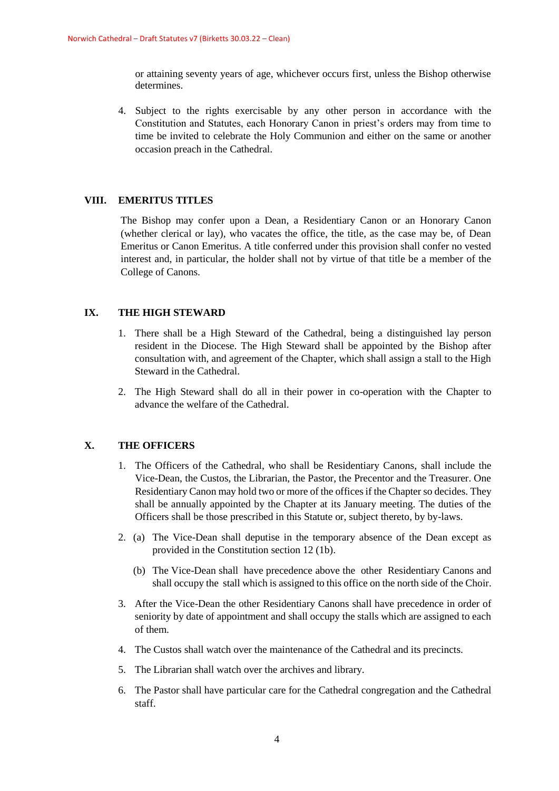or attaining seventy years of age, whichever occurs first, unless the Bishop otherwise determines.

4. Subject to the rights exercisable by any other person in accordance with the Constitution and Statutes, each Honorary Canon in priest's orders may from time to time be invited to celebrate the Holy Communion and either on the same or another occasion preach in the Cathedral.

## **VIII. EMERITUS TITLES**

The Bishop may confer upon a Dean, a Residentiary Canon or an Honorary Canon (whether clerical or lay), who vacates the office, the title, as the case may be, of Dean Emeritus or Canon Emeritus. A title conferred under this provision shall confer no vested interest and, in particular, the holder shall not by virtue of that title be a member of the College of Canons.

## **IX. THE HIGH STEWARD**

- 1. There shall be a High Steward of the Cathedral, being a distinguished lay person resident in the Diocese. The High Steward shall be appointed by the Bishop after consultation with, and agreement of the Chapter, which shall assign a stall to the High Steward in the Cathedral.
- 2. The High Steward shall do all in their power in co-operation with the Chapter to advance the welfare of the Cathedral.

## **X. THE OFFICERS**

- 1. The Officers of the Cathedral, who shall be Residentiary Canons, shall include the Vice-Dean, the Custos, the Librarian, the Pastor, the Precentor and the Treasurer. One Residentiary Canon may hold two or more of the offices if the Chapter so decides. They shall be annually appointed by the Chapter at its January meeting. The duties of the Officers shall be those prescribed in this Statute or, subject thereto, by by-laws.
- 2. (a) The Vice-Dean shall deputise in the temporary absence of the Dean except as provided in the Constitution section 12 (1b).
	- (b) The Vice-Dean shall have precedence above the other Residentiary Canons and shall occupy the stall which is assigned to this office on the north side of the Choir.
- 3. After the Vice-Dean the other Residentiary Canons shall have precedence in order of seniority by date of appointment and shall occupy the stalls which are assigned to each of them.
- 4. The Custos shall watch over the maintenance of the Cathedral and its precincts.
- 5. The Librarian shall watch over the archives and library.
- 6. The Pastor shall have particular care for the Cathedral congregation and the Cathedral staff.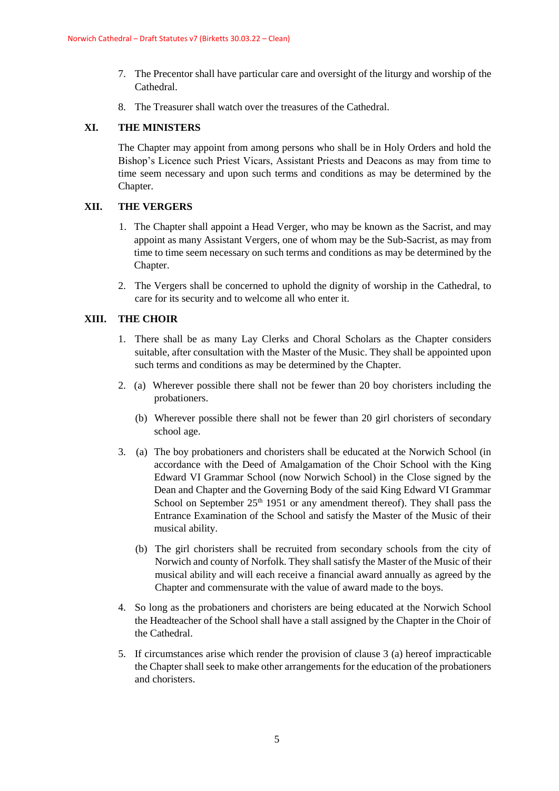- 7. The Precentor shall have particular care and oversight of the liturgy and worship of the Cathedral.
- 8. The Treasurer shall watch over the treasures of the Cathedral.

#### **XI. THE MINISTERS**

The Chapter may appoint from among persons who shall be in Holy Orders and hold the Bishop's Licence such Priest Vicars, Assistant Priests and Deacons as may from time to time seem necessary and upon such terms and conditions as may be determined by the Chapter.

## **XII. THE VERGERS**

- 1. The Chapter shall appoint a Head Verger, who may be known as the Sacrist, and may appoint as many Assistant Vergers, one of whom may be the Sub-Sacrist, as may from time to time seem necessary on such terms and conditions as may be determined by the Chapter.
- 2. The Vergers shall be concerned to uphold the dignity of worship in the Cathedral, to care for its security and to welcome all who enter it.

#### **XIII. THE CHOIR**

- 1. There shall be as many Lay Clerks and Choral Scholars as the Chapter considers suitable, after consultation with the Master of the Music. They shall be appointed upon such terms and conditions as may be determined by the Chapter.
- 2. (a) Wherever possible there shall not be fewer than 20 boy choristers including the probationers.
	- (b) Wherever possible there shall not be fewer than 20 girl choristers of secondary school age.
- 3. (a) The boy probationers and choristers shall be educated at the Norwich School (in accordance with the Deed of Amalgamation of the Choir School with the King Edward VI Grammar School (now Norwich School) in the Close signed by the Dean and Chapter and the Governing Body of the said King Edward VI Grammar School on September  $25<sup>th</sup> 1951$  or any amendment thereof). They shall pass the Entrance Examination of the School and satisfy the Master of the Music of their musical ability.
	- (b) The girl choristers shall be recruited from secondary schools from the city of Norwich and county of Norfolk. They shall satisfy the Master of the Music of their musical ability and will each receive a financial award annually as agreed by the Chapter and commensurate with the value of award made to the boys.
- 4. So long as the probationers and choristers are being educated at the Norwich School the Headteacher of the School shall have a stall assigned by the Chapter in the Choir of the Cathedral.
- 5. If circumstances arise which render the provision of clause 3 (a) hereof impracticable the Chapter shall seek to make other arrangements for the education of the probationers and choristers.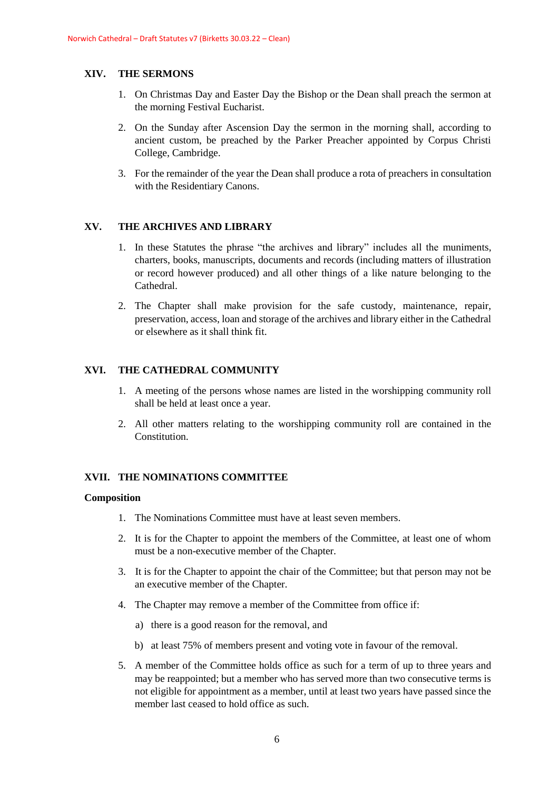## **XIV. THE SERMONS**

- 1. On Christmas Day and Easter Day the Bishop or the Dean shall preach the sermon at the morning Festival Eucharist.
- 2. On the Sunday after Ascension Day the sermon in the morning shall, according to ancient custom, be preached by the Parker Preacher appointed by Corpus Christi College, Cambridge.
- 3. For the remainder of the year the Dean shall produce a rota of preachers in consultation with the Residentiary Canons.

## **XV. THE ARCHIVES AND LIBRARY**

- 1. In these Statutes the phrase "the archives and library" includes all the muniments, charters, books, manuscripts, documents and records (including matters of illustration or record however produced) and all other things of a like nature belonging to the Cathedral.
- 2. The Chapter shall make provision for the safe custody, maintenance, repair, preservation, access, loan and storage of the archives and library either in the Cathedral or elsewhere as it shall think fit.

## **XVI. THE CATHEDRAL COMMUNITY**

- 1. A meeting of the persons whose names are listed in the worshipping community roll shall be held at least once a year.
- 2. All other matters relating to the worshipping community roll are contained in the Constitution.

## **XVII. THE NOMINATIONS COMMITTEE**

- 1. The Nominations Committee must have at least seven members.
- 2. It is for the Chapter to appoint the members of the Committee, at least one of whom must be a non-executive member of the Chapter.
- 3. It is for the Chapter to appoint the chair of the Committee; but that person may not be an executive member of the Chapter.
- 4. The Chapter may remove a member of the Committee from office if:
	- a) there is a good reason for the removal, and
	- b) at least 75% of members present and voting vote in favour of the removal.
- 5. A member of the Committee holds office as such for a term of up to three years and may be reappointed; but a member who has served more than two consecutive terms is not eligible for appointment as a member, until at least two years have passed since the member last ceased to hold office as such.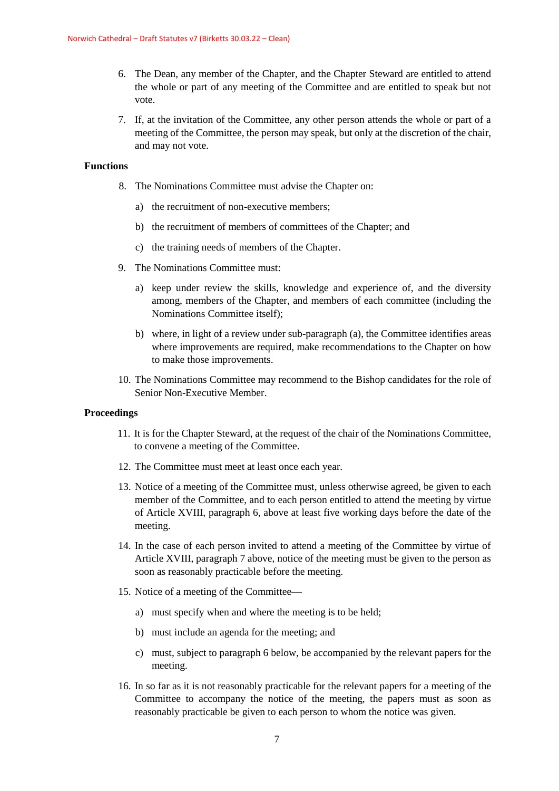- 6. The Dean, any member of the Chapter, and the Chapter Steward are entitled to attend the whole or part of any meeting of the Committee and are entitled to speak but not vote.
- 7. If, at the invitation of the Committee, any other person attends the whole or part of a meeting of the Committee, the person may speak, but only at the discretion of the chair, and may not vote.

#### **Functions**

- 8. The Nominations Committee must advise the Chapter on:
	- a) the recruitment of non-executive members;
	- b) the recruitment of members of committees of the Chapter; and
	- c) the training needs of members of the Chapter.
- 9. The Nominations Committee must:
	- a) keep under review the skills, knowledge and experience of, and the diversity among, members of the Chapter, and members of each committee (including the Nominations Committee itself);
	- b) where, in light of a review under sub-paragraph (a), the Committee identifies areas where improvements are required, make recommendations to the Chapter on how to make those improvements.
- 10. The Nominations Committee may recommend to the Bishop candidates for the role of Senior Non-Executive Member.

#### **Proceedings**

- 11. It is for the Chapter Steward, at the request of the chair of the Nominations Committee, to convene a meeting of the Committee.
- 12. The Committee must meet at least once each year.
- 13. Notice of a meeting of the Committee must, unless otherwise agreed, be given to each member of the Committee, and to each person entitled to attend the meeting by virtue of Article XVIII, paragraph 6, above at least five working days before the date of the meeting.
- 14. In the case of each person invited to attend a meeting of the Committee by virtue of Article XVIII, paragraph 7 above, notice of the meeting must be given to the person as soon as reasonably practicable before the meeting.
- 15. Notice of a meeting of the Committee
	- a) must specify when and where the meeting is to be held;
	- b) must include an agenda for the meeting; and
	- c) must, subject to paragraph 6 below, be accompanied by the relevant papers for the meeting.
- 16. In so far as it is not reasonably practicable for the relevant papers for a meeting of the Committee to accompany the notice of the meeting, the papers must as soon as reasonably practicable be given to each person to whom the notice was given.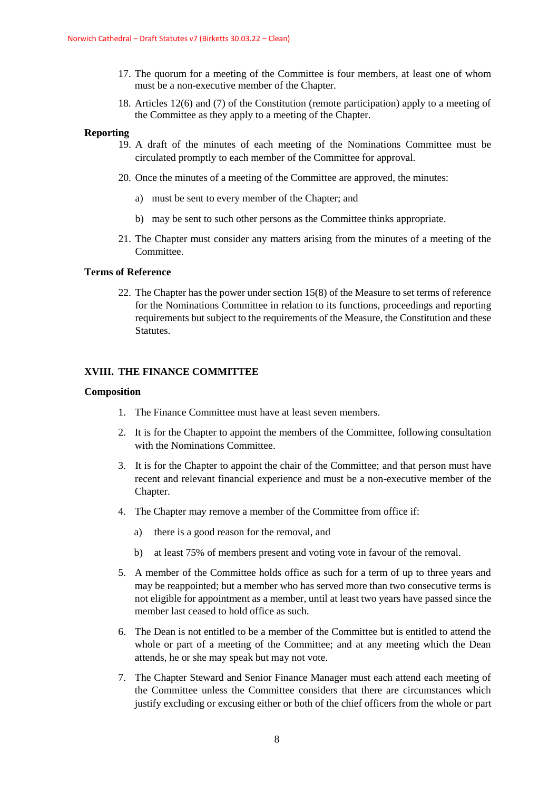- 17. The quorum for a meeting of the Committee is four members, at least one of whom must be a non-executive member of the Chapter.
- 18. Articles 12(6) and (7) of the Constitution (remote participation) apply to a meeting of the Committee as they apply to a meeting of the Chapter.

#### **Reporting**

- 19. A draft of the minutes of each meeting of the Nominations Committee must be circulated promptly to each member of the Committee for approval.
- 20. Once the minutes of a meeting of the Committee are approved, the minutes:
	- a) must be sent to every member of the Chapter; and
	- b) may be sent to such other persons as the Committee thinks appropriate.
- 21. The Chapter must consider any matters arising from the minutes of a meeting of the Committee.

## **Terms of Reference**

22. The Chapter has the power under section 15(8) of the Measure to set terms of reference for the Nominations Committee in relation to its functions, proceedings and reporting requirements but subject to the requirements of the Measure, the Constitution and these Statutes.

## **XVIII. THE FINANCE COMMITTEE**

- 1. The Finance Committee must have at least seven members.
- 2. It is for the Chapter to appoint the members of the Committee, following consultation with the Nominations Committee.
- 3. It is for the Chapter to appoint the chair of the Committee; and that person must have recent and relevant financial experience and must be a non-executive member of the Chapter.
- 4. The Chapter may remove a member of the Committee from office if:
	- a) there is a good reason for the removal, and
	- b) at least 75% of members present and voting vote in favour of the removal.
- 5. A member of the Committee holds office as such for a term of up to three years and may be reappointed; but a member who has served more than two consecutive terms is not eligible for appointment as a member, until at least two years have passed since the member last ceased to hold office as such.
- 6. The Dean is not entitled to be a member of the Committee but is entitled to attend the whole or part of a meeting of the Committee; and at any meeting which the Dean attends, he or she may speak but may not vote.
- 7. The Chapter Steward and Senior Finance Manager must each attend each meeting of the Committee unless the Committee considers that there are circumstances which justify excluding or excusing either or both of the chief officers from the whole or part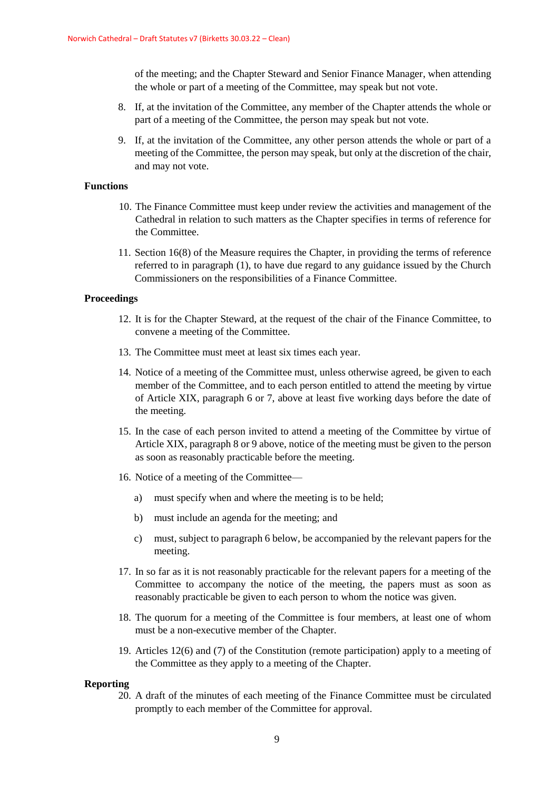of the meeting; and the Chapter Steward and Senior Finance Manager, when attending the whole or part of a meeting of the Committee, may speak but not vote.

- 8. If, at the invitation of the Committee, any member of the Chapter attends the whole or part of a meeting of the Committee, the person may speak but not vote.
- 9. If, at the invitation of the Committee, any other person attends the whole or part of a meeting of the Committee, the person may speak, but only at the discretion of the chair, and may not vote.

## **Functions**

- 10. The Finance Committee must keep under review the activities and management of the Cathedral in relation to such matters as the Chapter specifies in terms of reference for the Committee.
- 11. Section 16(8) of the Measure requires the Chapter, in providing the terms of reference referred to in paragraph (1), to have due regard to any guidance issued by the Church Commissioners on the responsibilities of a Finance Committee.

#### **Proceedings**

- 12. It is for the Chapter Steward, at the request of the chair of the Finance Committee, to convene a meeting of the Committee.
- 13. The Committee must meet at least six times each year.
- 14. Notice of a meeting of the Committee must, unless otherwise agreed, be given to each member of the Committee, and to each person entitled to attend the meeting by virtue of Article XIX, paragraph 6 or 7, above at least five working days before the date of the meeting.
- 15. In the case of each person invited to attend a meeting of the Committee by virtue of Article XIX, paragraph 8 or 9 above, notice of the meeting must be given to the person as soon as reasonably practicable before the meeting.
- 16. Notice of a meeting of the Committee
	- a) must specify when and where the meeting is to be held;
	- b) must include an agenda for the meeting; and
	- c) must, subject to paragraph 6 below, be accompanied by the relevant papers for the meeting.
- 17. In so far as it is not reasonably practicable for the relevant papers for a meeting of the Committee to accompany the notice of the meeting, the papers must as soon as reasonably practicable be given to each person to whom the notice was given.
- 18. The quorum for a meeting of the Committee is four members, at least one of whom must be a non-executive member of the Chapter.
- 19. Articles 12(6) and (7) of the Constitution (remote participation) apply to a meeting of the Committee as they apply to a meeting of the Chapter.

#### **Reporting**

20. A draft of the minutes of each meeting of the Finance Committee must be circulated promptly to each member of the Committee for approval.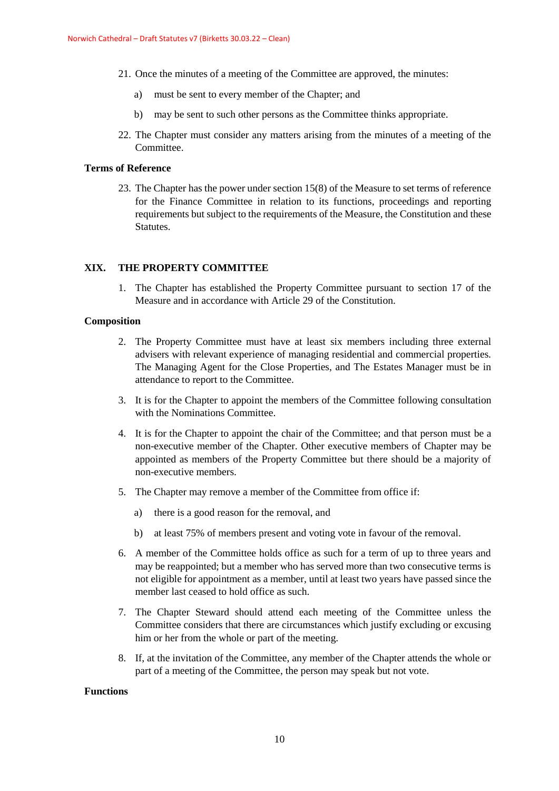- 21. Once the minutes of a meeting of the Committee are approved, the minutes:
	- a) must be sent to every member of the Chapter; and
	- b) may be sent to such other persons as the Committee thinks appropriate.
- 22. The Chapter must consider any matters arising from the minutes of a meeting of the Committee.

## **Terms of Reference**

23. The Chapter has the power under section 15(8) of the Measure to set terms of reference for the Finance Committee in relation to its functions, proceedings and reporting requirements but subject to the requirements of the Measure, the Constitution and these Statutes.

## **XIX. THE PROPERTY COMMITTEE**

1. The Chapter has established the Property Committee pursuant to section 17 of the Measure and in accordance with Article 29 of the Constitution.

#### **Composition**

- 2. The Property Committee must have at least six members including three external advisers with relevant experience of managing residential and commercial properties. The Managing Agent for the Close Properties, and The Estates Manager must be in attendance to report to the Committee.
- 3. It is for the Chapter to appoint the members of the Committee following consultation with the Nominations Committee.
- 4. It is for the Chapter to appoint the chair of the Committee; and that person must be a non-executive member of the Chapter. Other executive members of Chapter may be appointed as members of the Property Committee but there should be a majority of non-executive members.
- 5. The Chapter may remove a member of the Committee from office if:
	- a) there is a good reason for the removal, and
	- b) at least 75% of members present and voting vote in favour of the removal.
- 6. A member of the Committee holds office as such for a term of up to three years and may be reappointed; but a member who has served more than two consecutive terms is not eligible for appointment as a member, until at least two years have passed since the member last ceased to hold office as such.
- 7. The Chapter Steward should attend each meeting of the Committee unless the Committee considers that there are circumstances which justify excluding or excusing him or her from the whole or part of the meeting.
- 8. If, at the invitation of the Committee, any member of the Chapter attends the whole or part of a meeting of the Committee, the person may speak but not vote.

#### **Functions**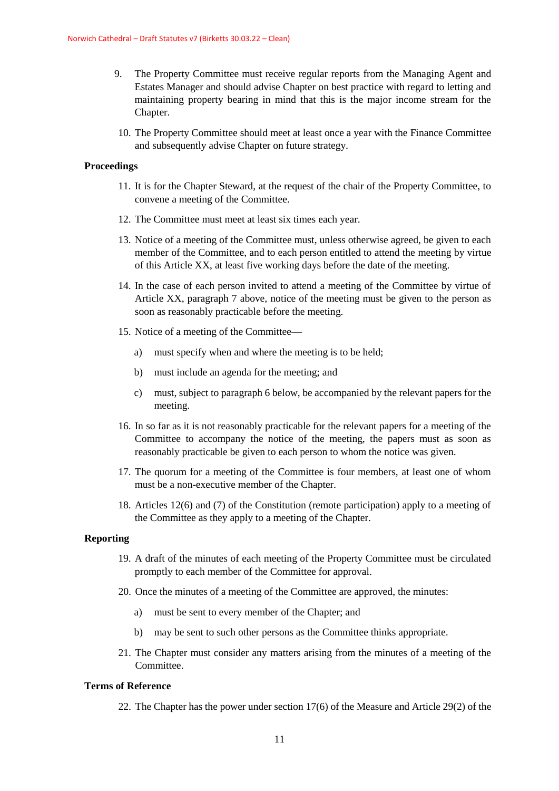- 9. The Property Committee must receive regular reports from the Managing Agent and Estates Manager and should advise Chapter on best practice with regard to letting and maintaining property bearing in mind that this is the major income stream for the Chapter.
	- 10. The Property Committee should meet at least once a year with the Finance Committee and subsequently advise Chapter on future strategy.

#### **Proceedings**

- 11. It is for the Chapter Steward, at the request of the chair of the Property Committee, to convene a meeting of the Committee.
- 12. The Committee must meet at least six times each year.
- 13. Notice of a meeting of the Committee must, unless otherwise agreed, be given to each member of the Committee, and to each person entitled to attend the meeting by virtue of this Article XX, at least five working days before the date of the meeting.
- 14. In the case of each person invited to attend a meeting of the Committee by virtue of Article XX, paragraph 7 above, notice of the meeting must be given to the person as soon as reasonably practicable before the meeting.
- 15. Notice of a meeting of the Committee
	- a) must specify when and where the meeting is to be held;
	- b) must include an agenda for the meeting; and
	- c) must, subject to paragraph 6 below, be accompanied by the relevant papers for the meeting.
- 16. In so far as it is not reasonably practicable for the relevant papers for a meeting of the Committee to accompany the notice of the meeting, the papers must as soon as reasonably practicable be given to each person to whom the notice was given.
- 17. The quorum for a meeting of the Committee is four members, at least one of whom must be a non-executive member of the Chapter.
- 18. Articles 12(6) and (7) of the Constitution (remote participation) apply to a meeting of the Committee as they apply to a meeting of the Chapter.

#### **Reporting**

- 19. A draft of the minutes of each meeting of the Property Committee must be circulated promptly to each member of the Committee for approval.
- 20. Once the minutes of a meeting of the Committee are approved, the minutes:
	- a) must be sent to every member of the Chapter; and
	- b) may be sent to such other persons as the Committee thinks appropriate.
- 21. The Chapter must consider any matters arising from the minutes of a meeting of the **Committee**

## **Terms of Reference**

22. The Chapter has the power under section 17(6) of the Measure and Article 29(2) of the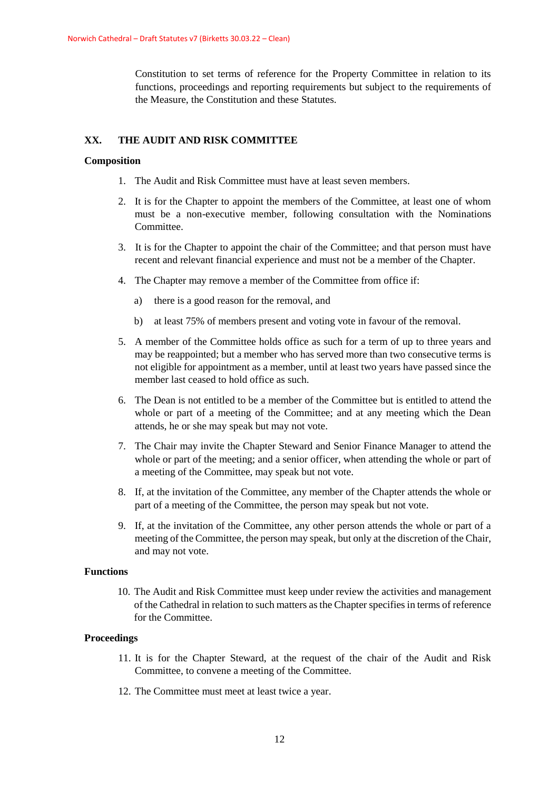Constitution to set terms of reference for the Property Committee in relation to its functions, proceedings and reporting requirements but subject to the requirements of the Measure, the Constitution and these Statutes.

## **XX. THE AUDIT AND RISK COMMITTEE**

#### **Composition**

- 1. The Audit and Risk Committee must have at least seven members.
- 2. It is for the Chapter to appoint the members of the Committee, at least one of whom must be a non-executive member, following consultation with the Nominations Committee.
- 3. It is for the Chapter to appoint the chair of the Committee; and that person must have recent and relevant financial experience and must not be a member of the Chapter.
- 4. The Chapter may remove a member of the Committee from office if:
	- a) there is a good reason for the removal, and
	- b) at least 75% of members present and voting vote in favour of the removal.
- 5. A member of the Committee holds office as such for a term of up to three years and may be reappointed; but a member who has served more than two consecutive terms is not eligible for appointment as a member, until at least two years have passed since the member last ceased to hold office as such.
- 6. The Dean is not entitled to be a member of the Committee but is entitled to attend the whole or part of a meeting of the Committee; and at any meeting which the Dean attends, he or she may speak but may not vote.
- 7. The Chair may invite the Chapter Steward and Senior Finance Manager to attend the whole or part of the meeting; and a senior officer, when attending the whole or part of a meeting of the Committee, may speak but not vote.
- 8. If, at the invitation of the Committee, any member of the Chapter attends the whole or part of a meeting of the Committee, the person may speak but not vote.
- 9. If, at the invitation of the Committee, any other person attends the whole or part of a meeting of the Committee, the person may speak, but only at the discretion of the Chair, and may not vote.

## **Functions**

10. The Audit and Risk Committee must keep under review the activities and management of the Cathedral in relation to such matters as the Chapter specifies in terms of reference for the Committee.

#### **Proceedings**

- 11. It is for the Chapter Steward, at the request of the chair of the Audit and Risk Committee, to convene a meeting of the Committee.
- 12. The Committee must meet at least twice a year.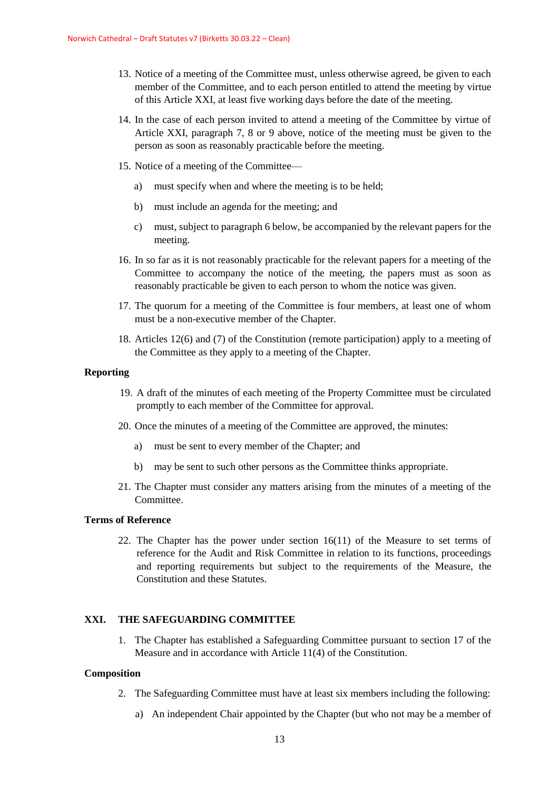- 13. Notice of a meeting of the Committee must, unless otherwise agreed, be given to each member of the Committee, and to each person entitled to attend the meeting by virtue of this Article XXI, at least five working days before the date of the meeting.
- 14. In the case of each person invited to attend a meeting of the Committee by virtue of Article XXI, paragraph 7, 8 or 9 above, notice of the meeting must be given to the person as soon as reasonably practicable before the meeting.
- 15. Notice of a meeting of the Committee
	- a) must specify when and where the meeting is to be held;
	- b) must include an agenda for the meeting; and
	- c) must, subject to paragraph 6 below, be accompanied by the relevant papers for the meeting.
- 16. In so far as it is not reasonably practicable for the relevant papers for a meeting of the Committee to accompany the notice of the meeting, the papers must as soon as reasonably practicable be given to each person to whom the notice was given.
- 17. The quorum for a meeting of the Committee is four members, at least one of whom must be a non-executive member of the Chapter.
- 18. Articles 12(6) and (7) of the Constitution (remote participation) apply to a meeting of the Committee as they apply to a meeting of the Chapter.

#### **Reporting**

- 19. A draft of the minutes of each meeting of the Property Committee must be circulated promptly to each member of the Committee for approval.
- 20. Once the minutes of a meeting of the Committee are approved, the minutes:
	- a) must be sent to every member of the Chapter; and
	- b) may be sent to such other persons as the Committee thinks appropriate.
- 21. The Chapter must consider any matters arising from the minutes of a meeting of the **Committee**

## **Terms of Reference**

22. The Chapter has the power under section 16(11) of the Measure to set terms of reference for the Audit and Risk Committee in relation to its functions, proceedings and reporting requirements but subject to the requirements of the Measure, the Constitution and these Statutes.

#### **XXI. THE SAFEGUARDING COMMITTEE**

1. The Chapter has established a Safeguarding Committee pursuant to section 17 of the Measure and in accordance with Article 11(4) of the Constitution.

- 2. The Safeguarding Committee must have at least six members including the following:
	- a) An independent Chair appointed by the Chapter (but who not may be a member of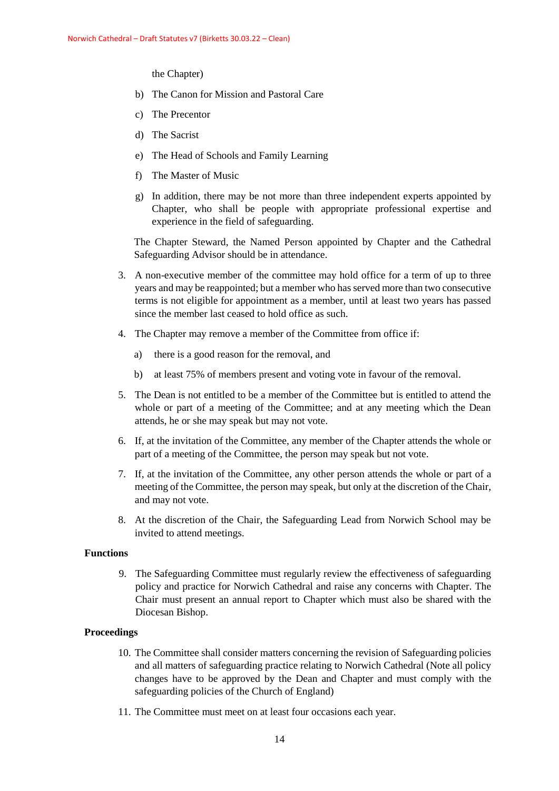the Chapter)

- b) The Canon for Mission and Pastoral Care
- c) The Precentor
- d) The Sacrist
- e) The Head of Schools and Family Learning
- f) The Master of Music
- g) In addition, there may be not more than three independent experts appointed by Chapter, who shall be people with appropriate professional expertise and experience in the field of safeguarding.

The Chapter Steward, the Named Person appointed by Chapter and the Cathedral Safeguarding Advisor should be in attendance.

- 3. A non-executive member of the committee may hold office for a term of up to three years and may be reappointed; but a member who has served more than two consecutive terms is not eligible for appointment as a member, until at least two years has passed since the member last ceased to hold office as such.
- 4. The Chapter may remove a member of the Committee from office if:
	- a) there is a good reason for the removal, and
	- b) at least 75% of members present and voting vote in favour of the removal.
- 5. The Dean is not entitled to be a member of the Committee but is entitled to attend the whole or part of a meeting of the Committee; and at any meeting which the Dean attends, he or she may speak but may not vote.
- 6. If, at the invitation of the Committee, any member of the Chapter attends the whole or part of a meeting of the Committee, the person may speak but not vote.
- 7. If, at the invitation of the Committee, any other person attends the whole or part of a meeting of the Committee, the person may speak, but only at the discretion of the Chair, and may not vote.
- 8. At the discretion of the Chair, the Safeguarding Lead from Norwich School may be invited to attend meetings.

## **Functions**

9. The Safeguarding Committee must regularly review the effectiveness of safeguarding policy and practice for Norwich Cathedral and raise any concerns with Chapter. The Chair must present an annual report to Chapter which must also be shared with the Diocesan Bishop.

#### **Proceedings**

- 10. The Committee shall consider matters concerning the revision of Safeguarding policies and all matters of safeguarding practice relating to Norwich Cathedral (Note all policy changes have to be approved by the Dean and Chapter and must comply with the safeguarding policies of the Church of England)
- 11. The Committee must meet on at least four occasions each year.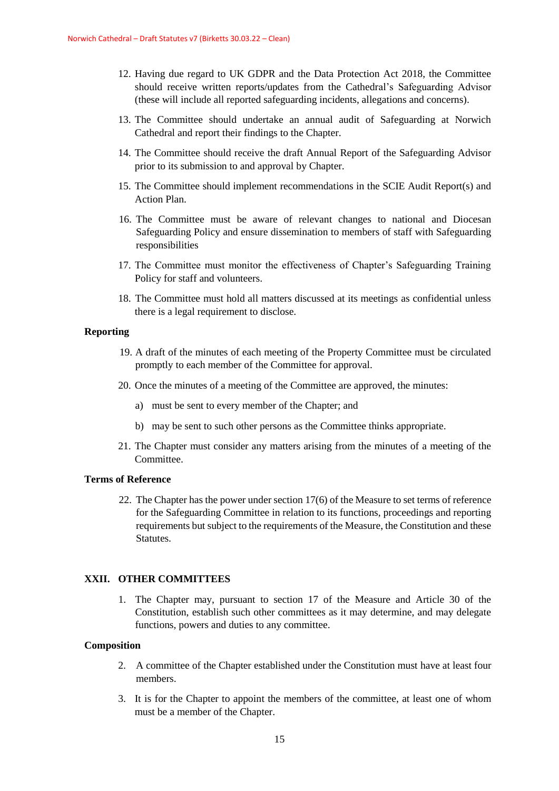- 12. Having due regard to UK GDPR and the Data Protection Act 2018, the Committee should receive written reports/updates from the Cathedral's Safeguarding Advisor (these will include all reported safeguarding incidents, allegations and concerns).
- 13. The Committee should undertake an annual audit of Safeguarding at Norwich Cathedral and report their findings to the Chapter.
- 14. The Committee should receive the draft Annual Report of the Safeguarding Advisor prior to its submission to and approval by Chapter.
- 15. The Committee should implement recommendations in the SCIE Audit Report(s) and Action Plan.
- 16. The Committee must be aware of relevant changes to national and Diocesan Safeguarding Policy and ensure dissemination to members of staff with Safeguarding responsibilities
- 17. The Committee must monitor the effectiveness of Chapter's Safeguarding Training Policy for staff and volunteers.
- 18. The Committee must hold all matters discussed at its meetings as confidential unless there is a legal requirement to disclose.

## **Reporting**

- 19. A draft of the minutes of each meeting of the Property Committee must be circulated promptly to each member of the Committee for approval.
- 20. Once the minutes of a meeting of the Committee are approved, the minutes:
	- a) must be sent to every member of the Chapter; and
	- b) may be sent to such other persons as the Committee thinks appropriate.
- 21. The Chapter must consider any matters arising from the minutes of a meeting of the Committee.

#### **Terms of Reference**

22. The Chapter has the power under section 17(6) of the Measure to set terms of reference for the Safeguarding Committee in relation to its functions, proceedings and reporting requirements but subject to the requirements of the Measure, the Constitution and these Statutes.

#### **XXII. OTHER COMMITTEES**

1. The Chapter may, pursuant to section 17 of the Measure and Article 30 of the Constitution, establish such other committees as it may determine, and may delegate functions, powers and duties to any committee.

- 2. A committee of the Chapter established under the Constitution must have at least four members.
- 3. It is for the Chapter to appoint the members of the committee, at least one of whom must be a member of the Chapter.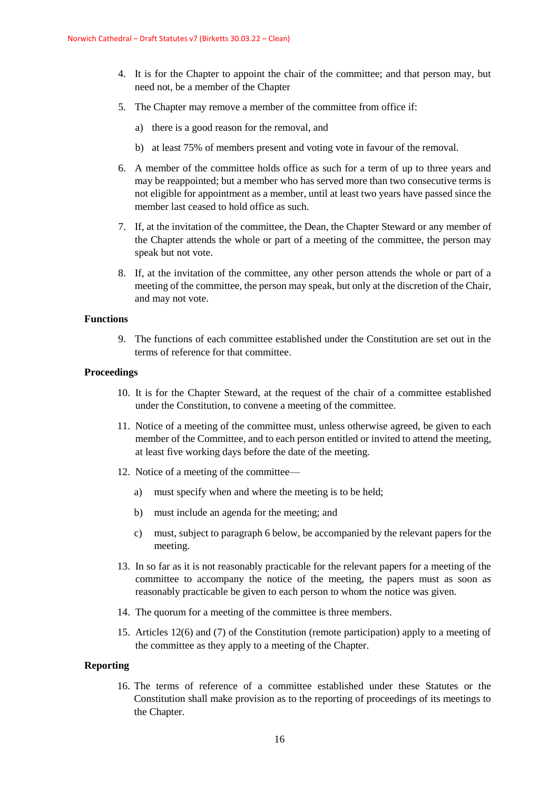- 4. It is for the Chapter to appoint the chair of the committee; and that person may, but need not, be a member of the Chapter
- 5. The Chapter may remove a member of the committee from office if:
	- a) there is a good reason for the removal, and
	- b) at least 75% of members present and voting vote in favour of the removal.
- 6. A member of the committee holds office as such for a term of up to three years and may be reappointed; but a member who has served more than two consecutive terms is not eligible for appointment as a member, until at least two years have passed since the member last ceased to hold office as such.
- 7. If, at the invitation of the committee, the Dean, the Chapter Steward or any member of the Chapter attends the whole or part of a meeting of the committee, the person may speak but not vote.
- 8. If, at the invitation of the committee, any other person attends the whole or part of a meeting of the committee, the person may speak, but only at the discretion of the Chair, and may not vote.

#### **Functions**

9. The functions of each committee established under the Constitution are set out in the terms of reference for that committee.

#### **Proceedings**

- 10. It is for the Chapter Steward, at the request of the chair of a committee established under the Constitution, to convene a meeting of the committee.
- 11. Notice of a meeting of the committee must, unless otherwise agreed, be given to each member of the Committee, and to each person entitled or invited to attend the meeting, at least five working days before the date of the meeting.
- 12. Notice of a meeting of the committee
	- a) must specify when and where the meeting is to be held;
	- b) must include an agenda for the meeting; and
	- c) must, subject to paragraph 6 below, be accompanied by the relevant papers for the meeting.
- 13. In so far as it is not reasonably practicable for the relevant papers for a meeting of the committee to accompany the notice of the meeting, the papers must as soon as reasonably practicable be given to each person to whom the notice was given.
- 14. The quorum for a meeting of the committee is three members.
- 15. Articles 12(6) and (7) of the Constitution (remote participation) apply to a meeting of the committee as they apply to a meeting of the Chapter.

#### **Reporting**

16. The terms of reference of a committee established under these Statutes or the Constitution shall make provision as to the reporting of proceedings of its meetings to the Chapter.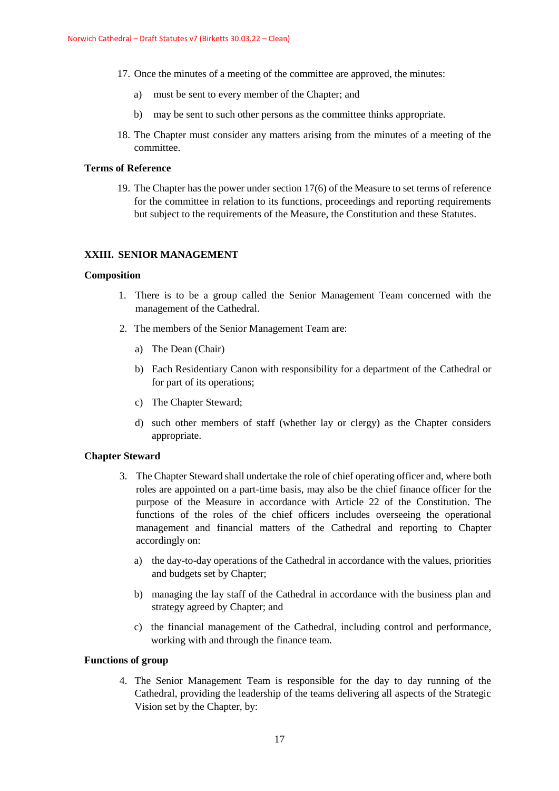- 17. Once the minutes of a meeting of the committee are approved, the minutes:
	- a) must be sent to every member of the Chapter; and
	- b) may be sent to such other persons as the committee thinks appropriate.
- 18. The Chapter must consider any matters arising from the minutes of a meeting of the committee.

#### **Terms of Reference**

19. The Chapter has the power under section 17(6) of the Measure to set terms of reference for the committee in relation to its functions, proceedings and reporting requirements but subject to the requirements of the Measure, the Constitution and these Statutes.

## **XXIII. SENIOR MANAGEMENT**

#### **Composition**

- 1. There is to be a group called the Senior Management Team concerned with the management of the Cathedral.
- 2. The members of the Senior Management Team are:
	- a) The Dean (Chair)
	- b) Each Residentiary Canon with responsibility for a department of the Cathedral or for part of its operations;
	- c) The Chapter Steward;
	- d) such other members of staff (whether lay or clergy) as the Chapter considers appropriate.

#### **Chapter Steward**

- 3. The Chapter Steward shall undertake the role of chief operating officer and, where both roles are appointed on a part-time basis, may also be the chief finance officer for the purpose of the Measure in accordance with Article 22 of the Constitution. The functions of the roles of the chief officers includes overseeing the operational management and financial matters of the Cathedral and reporting to Chapter accordingly on:
	- a) the day-to-day operations of the Cathedral in accordance with the values, priorities and budgets set by Chapter;
	- b) managing the lay staff of the Cathedral in accordance with the business plan and strategy agreed by Chapter; and
	- c) the financial management of the Cathedral, including control and performance, working with and through the finance team.

## **Functions of group**

4. The Senior Management Team is responsible for the day to day running of the Cathedral, providing the leadership of the teams delivering all aspects of the Strategic Vision set by the Chapter, by: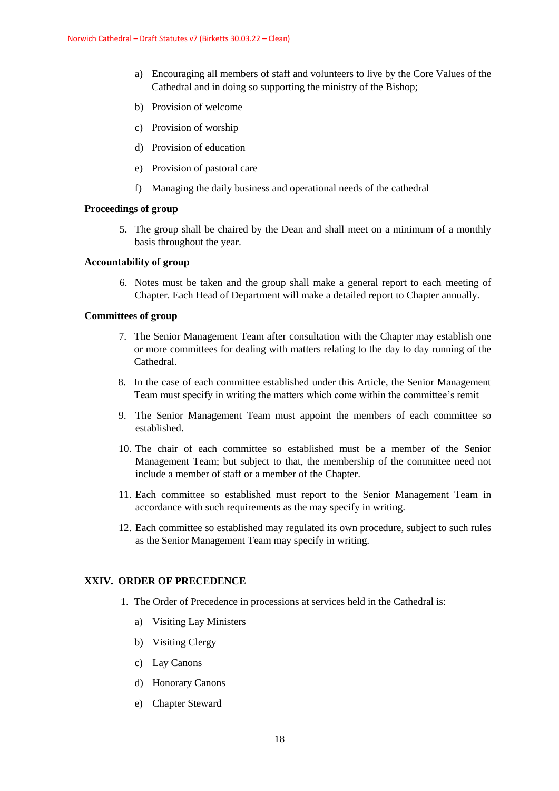- a) Encouraging all members of staff and volunteers to live by the Core Values of the Cathedral and in doing so supporting the ministry of the Bishop;
- b) Provision of welcome
- c) Provision of worship
- d) Provision of education
- e) Provision of pastoral care
- f) Managing the daily business and operational needs of the cathedral

#### **Proceedings of group**

5. The group shall be chaired by the Dean and shall meet on a minimum of a monthly basis throughout the year.

## **Accountability of group**

6. Notes must be taken and the group shall make a general report to each meeting of Chapter. Each Head of Department will make a detailed report to Chapter annually.

## **Committees of group**

- 7. The Senior Management Team after consultation with the Chapter may establish one or more committees for dealing with matters relating to the day to day running of the Cathedral.
- 8. In the case of each committee established under this Article, the Senior Management Team must specify in writing the matters which come within the committee's remit
- 9. The Senior Management Team must appoint the members of each committee so established.
- 10. The chair of each committee so established must be a member of the Senior Management Team; but subject to that, the membership of the committee need not include a member of staff or a member of the Chapter.
- 11. Each committee so established must report to the Senior Management Team in accordance with such requirements as the may specify in writing.
- 12. Each committee so established may regulated its own procedure, subject to such rules as the Senior Management Team may specify in writing.

## **XXIV. ORDER OF PRECEDENCE**

- 1. The Order of Precedence in processions at services held in the Cathedral is:
	- a) Visiting Lay Ministers
	- b) Visiting Clergy
	- c) Lay Canons
	- d) Honorary Canons
	- e) Chapter Steward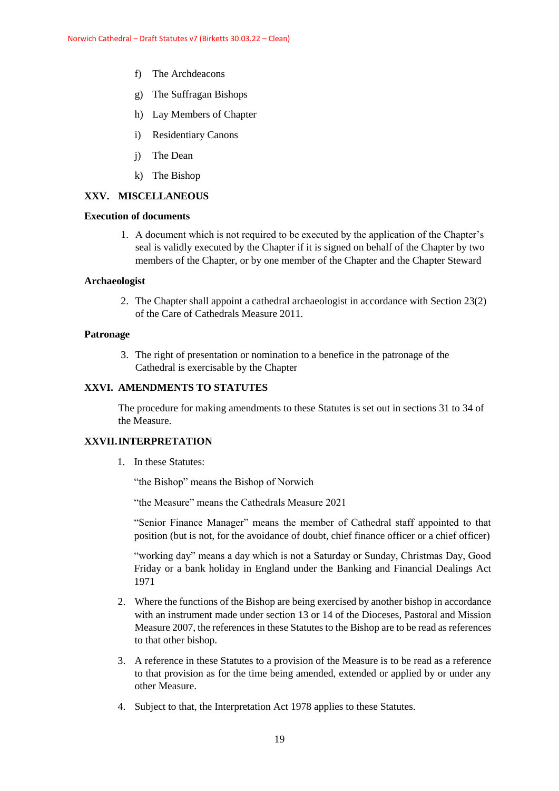- f) The Archdeacons
- g) The Suffragan Bishops
- h) Lay Members of Chapter
- i) Residentiary Canons
- j) The Dean
- k) The Bishop

## **XXV. MISCELLANEOUS**

## **Execution of documents**

1. A document which is not required to be executed by the application of the Chapter's seal is validly executed by the Chapter if it is signed on behalf of the Chapter by two members of the Chapter, or by one member of the Chapter and the Chapter Steward

#### **Archaeologist**

2. The Chapter shall appoint a cathedral archaeologist in accordance with Section 23(2) of the Care of Cathedrals Measure 2011.

## **Patronage**

3. The right of presentation or nomination to a benefice in the patronage of the Cathedral is exercisable by the Chapter

## **XXVI. AMENDMENTS TO STATUTES**

The procedure for making amendments to these Statutes is set out in sections 31 to 34 of the Measure.

## **XXVII.INTERPRETATION**

1. In these Statutes:

"the Bishop" means the Bishop of Norwich

"the Measure" means the Cathedrals Measure 2021

"Senior Finance Manager" means the member of Cathedral staff appointed to that position (but is not, for the avoidance of doubt, chief finance officer or a chief officer)

"working day" means a day which is not a Saturday or Sunday, Christmas Day, Good Friday or a bank holiday in England under the Banking and Financial Dealings Act 1971

- 2. Where the functions of the Bishop are being exercised by another bishop in accordance with an instrument made under section 13 or 14 of the Dioceses, Pastoral and Mission Measure 2007, the references in these Statutes to the Bishop are to be read as references to that other bishop.
- 3. A reference in these Statutes to a provision of the Measure is to be read as a reference to that provision as for the time being amended, extended or applied by or under any other Measure.
- 4. Subject to that, the Interpretation Act 1978 applies to these Statutes.